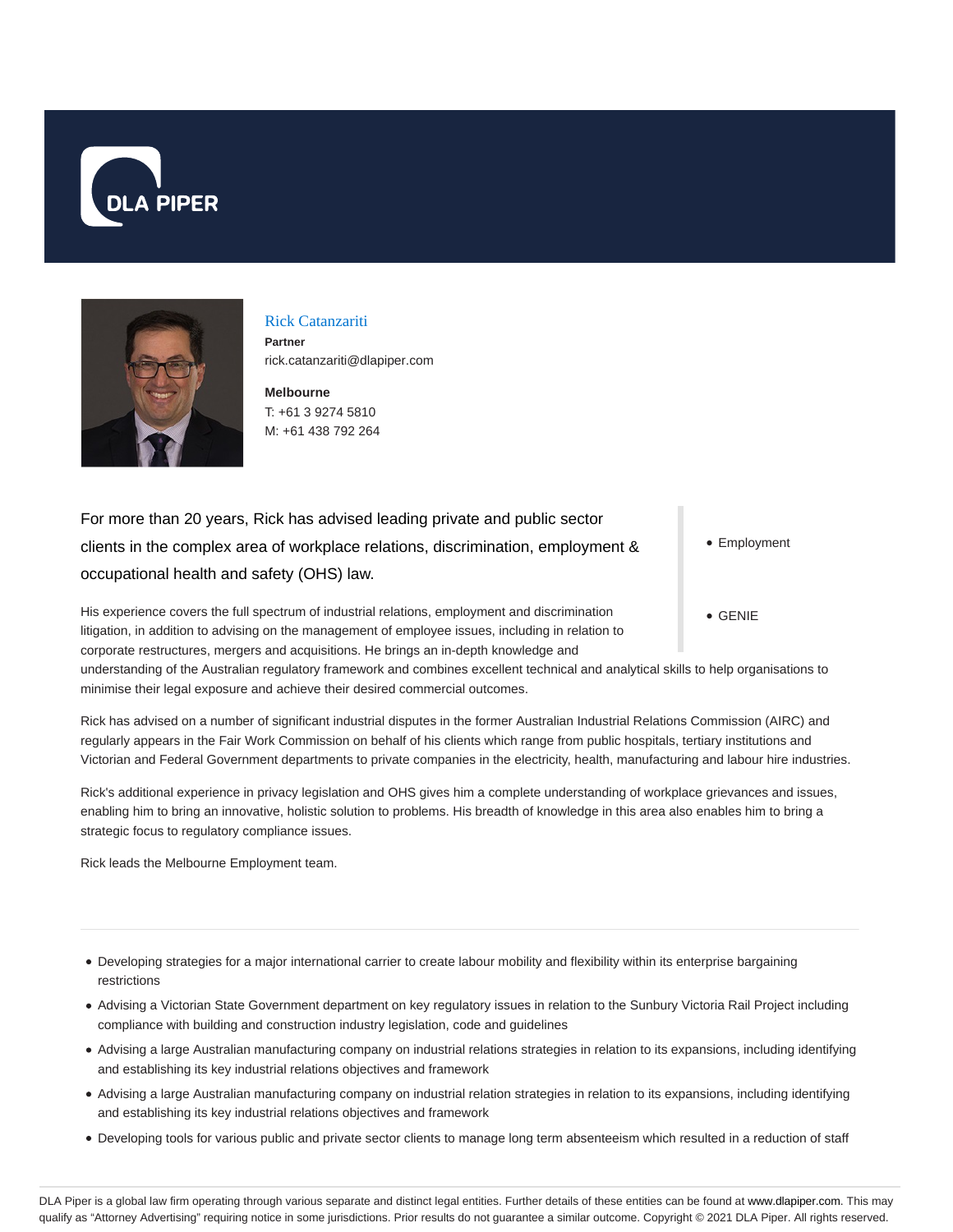



# Rick Catanzariti

**Partner** rick.catanzariti@dlapiper.com

**Melbourne** T: +61 3 9274 5810 M: +61 438 792 264

For more than 20 years, Rick has advised leading private and public sector clients in the complex area of workplace relations, discrimination, employment & occupational health and safety (OHS) law.

His experience covers the full spectrum of industrial relations, employment and discrimination litigation, in addition to advising on the management of employee issues, including in relation to corporate restructures, mergers and acquisitions. He brings an in-depth knowledge and

understanding of the Australian regulatory framework and combines excellent technical and analytical skills to help organisations to minimise their legal exposure and achieve their desired commercial outcomes.

Rick has advised on a number of significant industrial disputes in the former Australian Industrial Relations Commission (AIRC) and regularly appears in the Fair Work Commission on behalf of his clients which range from public hospitals, tertiary institutions and Victorian and Federal Government departments to private companies in the electricity, health, manufacturing and labour hire industries.

Rick's additional experience in privacy legislation and OHS gives him a complete understanding of workplace grievances and issues, enabling him to bring an innovative, holistic solution to problems. His breadth of knowledge in this area also enables him to bring a strategic focus to regulatory compliance issues.

Rick leads the Melbourne Employment team.

- Developing strategies for a major international carrier to create labour mobility and flexibility within its enterprise bargaining restrictions
- Advising a Victorian State Government department on key regulatory issues in relation to the Sunbury Victoria Rail Project including compliance with building and construction industry legislation, code and guidelines
- Advising a large Australian manufacturing company on industrial relations strategies in relation to its expansions, including identifying and establishing its key industrial relations objectives and framework
- Advising a large Australian manufacturing company on industrial relation strategies in relation to its expansions, including identifying and establishing its key industrial relations objectives and framework
- Developing tools for various public and private sector clients to manage long term absenteeism which resulted in a reduction of staff

DLA Piper is a global law firm operating through various separate and distinct legal entities. Further details of these entities can be found at www.dlapiper.com. This may qualify as "Attorney Advertising" requiring notice in some jurisdictions. Prior results do not guarantee a similar outcome. Copyright © 2021 DLA Piper. All rights reserved.

- Employment
- GENIE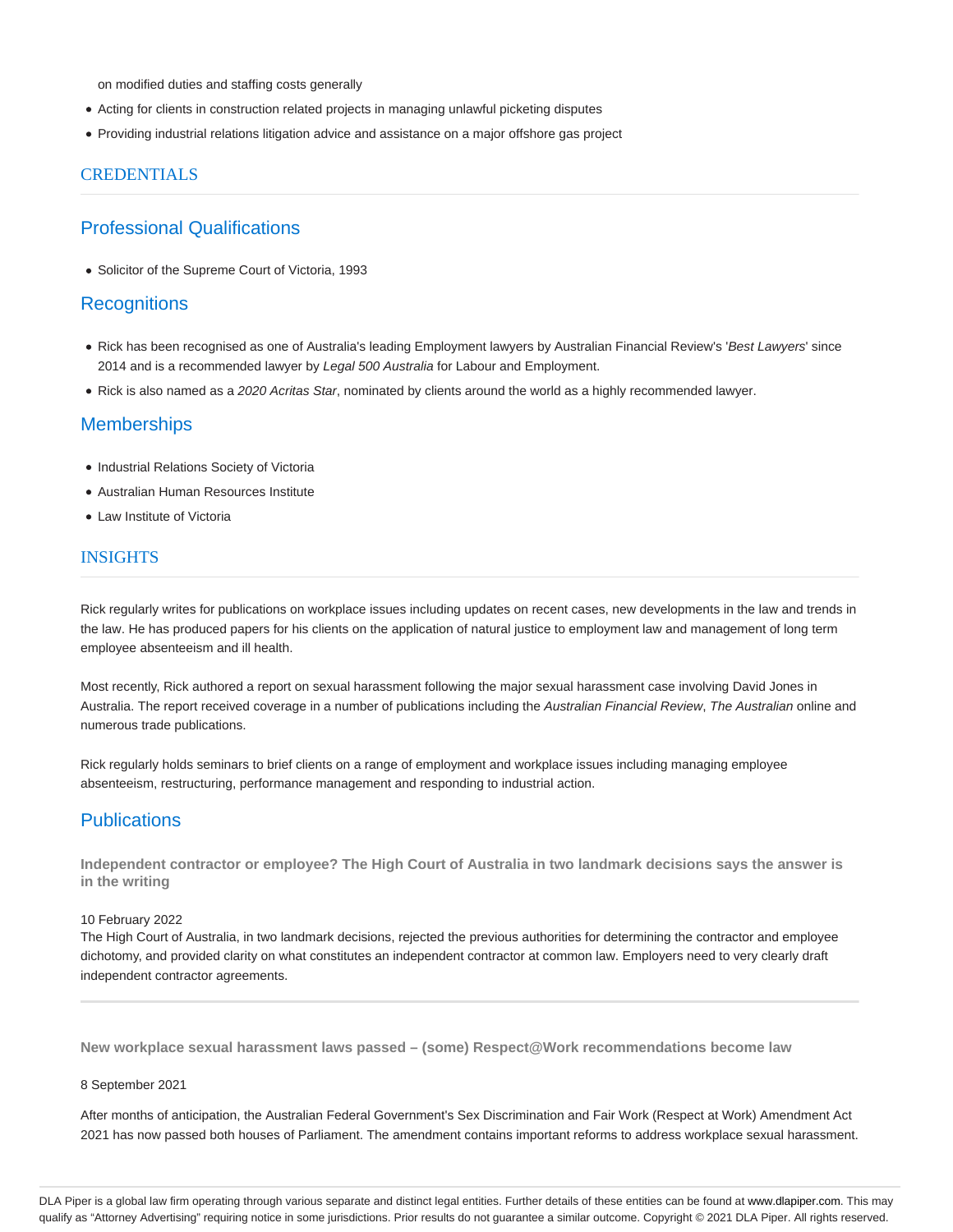on modified duties and staffing costs generally

- Acting for clients in construction related projects in managing unlawful picketing disputes
- Providing industrial relations litigation advice and assistance on a major offshore gas project

## **CREDENTIALS**

# Professional Qualifications

Solicitor of the Supreme Court of Victoria, 1993

## **Recognitions**

- Rick has been recognised as one of Australia's leading Employment lawyers by Australian Financial Review's 'Best Lawyers' since 2014 and is a recommended lawyer by Legal 500 Australia for Labour and Employment.
- Rick is also named as a 2020 Acritas Star, nominated by clients around the world as a highly recommended lawyer.

## **Memberships**

- Industrial Relations Society of Victoria
- Australian Human Resources Institute
- Law Institute of Victoria

### INSIGHTS

Rick regularly writes for publications on workplace issues including updates on recent cases, new developments in the law and trends in the law. He has produced papers for his clients on the application of natural justice to employment law and management of long term employee absenteeism and ill health.

Most recently, Rick authored a report on sexual harassment following the major sexual harassment case involving David Jones in Australia. The report received coverage in a number of publications including the Australian Financial Review, The Australian online and numerous trade publications.

Rick regularly holds seminars to brief clients on a range of employment and workplace issues including managing employee absenteeism, restructuring, performance management and responding to industrial action.

# **Publications**

**Independent contractor or employee? The High Court of Australia in two landmark decisions says the answer is in the writing**

#### 10 February 2022

The High Court of Australia, in two landmark decisions, rejected the previous authorities for determining the contractor and employee dichotomy, and provided clarity on what constitutes an independent contractor at common law. Employers need to very clearly draft independent contractor agreements.

**New workplace sexual harassment laws passed – (some) Respect@Work recommendations become law**

### 8 September 2021

After months of anticipation, the Australian Federal Government's Sex Discrimination and Fair Work (Respect at Work) Amendment Act 2021 has now passed both houses of Parliament. The amendment contains important reforms to address workplace sexual harassment.

DLA Piper is a global law firm operating through various separate and distinct legal entities. Further details of these entities can be found at www.dlapiper.com. This may qualify as "Attorney Advertising" requiring notice in some jurisdictions. Prior results do not guarantee a similar outcome. Copyright @ 2021 DLA Piper. All rights reserved.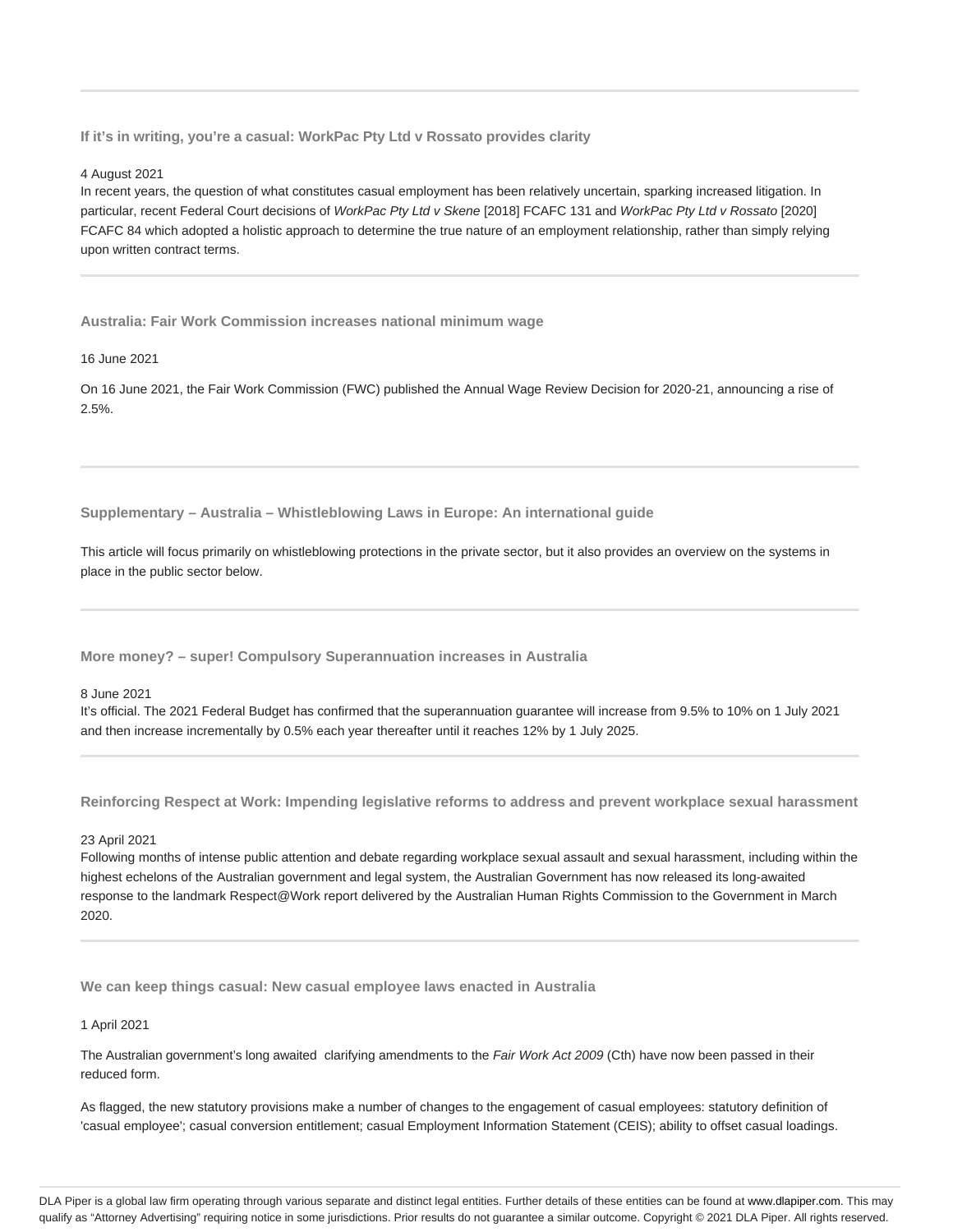**If it's in writing, you're a casual: WorkPac Pty Ltd v Rossato provides clarity**

4 August 2021

In recent years, the question of what constitutes casual employment has been relatively uncertain, sparking increased litigation. In particular, recent Federal Court decisions of WorkPac Pty Ltd v Skene [2018] FCAFC 131 and WorkPac Pty Ltd v Rossato [2020] FCAFC 84 which adopted a holistic approach to determine the true nature of an employment relationship, rather than simply relying upon written contract terms.

**Australia: Fair Work Commission increases national minimum wage**

#### 16 June 2021

On 16 June 2021, the Fair Work Commission (FWC) published the Annual Wage Review Decision for 2020-21, announcing a rise of 2.5%.

**Supplementary – Australia – Whistleblowing Laws in Europe: An international guide**

This article will focus primarily on whistleblowing protections in the private sector, but it also provides an overview on the systems in place in the public sector below.

**More money? – super! Compulsory Superannuation increases in Australia**

#### 8 June 2021

It's official. The 2021 Federal Budget has confirmed that the superannuation guarantee will increase from 9.5% to 10% on 1 July 2021 and then increase incrementally by 0.5% each year thereafter until it reaches 12% by 1 July 2025.

**Reinforcing Respect at Work: Impending legislative reforms to address and prevent workplace sexual harassment**

### 23 April 2021

Following months of intense public attention and debate regarding workplace sexual assault and sexual harassment, including within the highest echelons of the Australian government and legal system, the Australian Government has now released its long-awaited response to the landmark Respect@Work report delivered by the Australian Human Rights Commission to the Government in March 2020.

**We can keep things casual: New casual employee laws enacted in Australia**

1 April 2021

The Australian government's long awaited clarifying amendments to the Fair Work Act 2009 (Cth) have now been passed in their reduced form.

As flagged, the new statutory provisions make a number of changes to the engagement of casual employees: statutory definition of 'casual employee'; casual conversion entitlement; casual Employment Information Statement (CEIS); ability to offset casual loadings.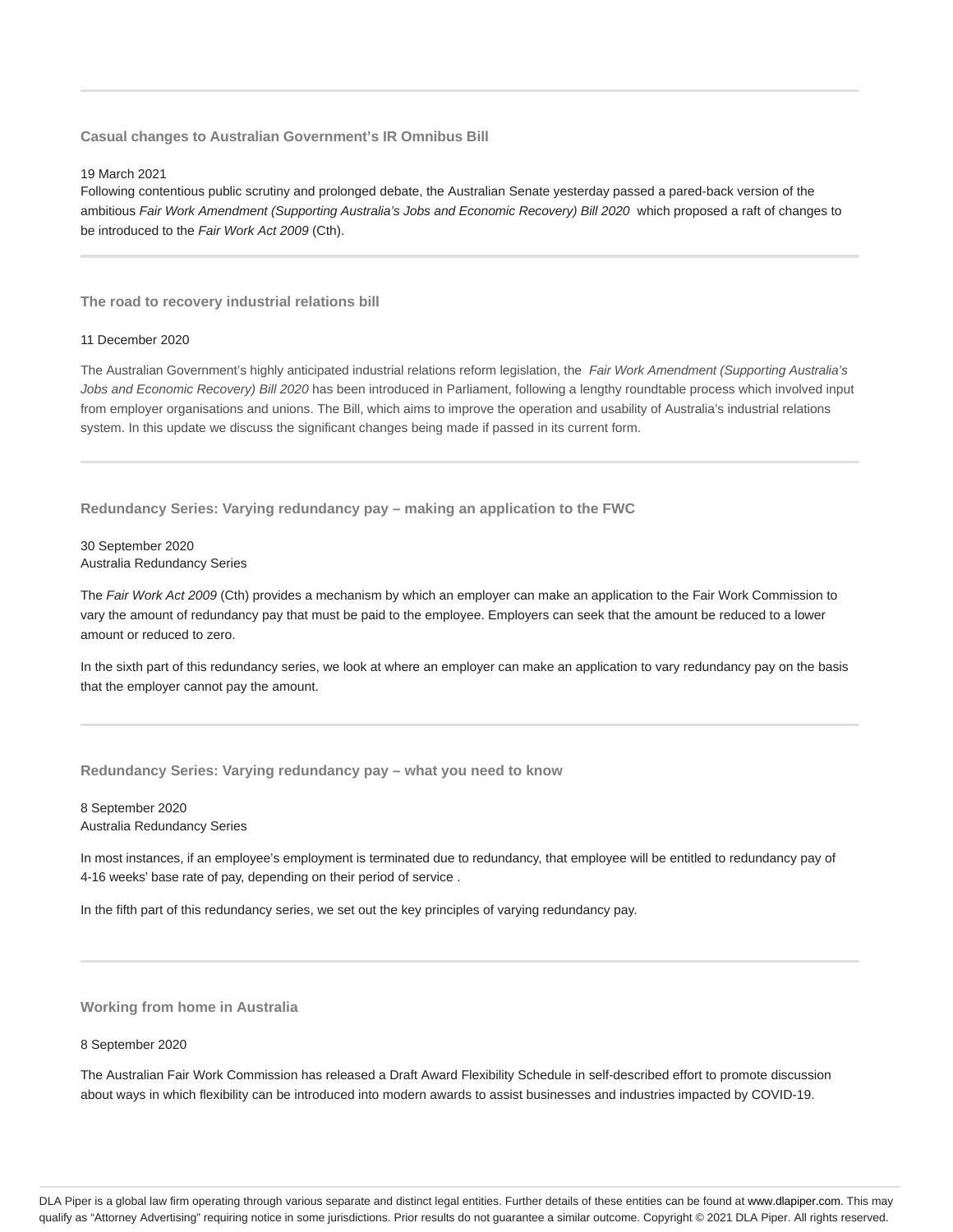### **Casual changes to Australian Government's IR Omnibus Bill**

#### 19 March 2021

Following contentious public scrutiny and prolonged debate, the Australian Senate yesterday passed a pared-back version of the ambitious Fair Work Amendment (Supporting Australia's Jobs and Economic Recovery) Bill 2020 which proposed a raft of changes to be introduced to the Fair Work Act 2009 (Cth).

**The road to recovery industrial relations bill**

#### 11 December 2020

The Australian Government's highly anticipated industrial relations reform legislation, the Fair Work Amendment (Supporting Australia's Jobs and Economic Recovery) Bill 2020 has been introduced in Parliament, following a lengthy roundtable process which involved input from employer organisations and unions. The Bill, which aims to improve the operation and usability of Australia's industrial relations system. In this update we discuss the significant changes being made if passed in its current form.

**Redundancy Series: Varying redundancy pay – making an application to the FWC**

30 September 2020 Australia Redundancy Series

The Fair Work Act 2009 (Cth) provides a mechanism by which an employer can make an application to the Fair Work Commission to vary the amount of redundancy pay that must be paid to the employee. Employers can seek that the amount be reduced to a lower amount or reduced to zero.

In the sixth part of this redundancy series, we look at where an employer can make an application to vary redundancy pay on the basis that the employer cannot pay the amount.

### **Redundancy Series: Varying redundancy pay – what you need to know**

### 8 September 2020 Australia Redundancy Series

In most instances, if an employee's employment is terminated due to redundancy, that employee will be entitled to redundancy pay of 4-16 weeks' base rate of pay, depending on their period of service .

In the fifth part of this redundancy series, we set out the key principles of varying redundancy pay.

**Working from home in Australia**

#### 8 September 2020

The Australian Fair Work Commission has released a Draft Award Flexibility Schedule in self-described effort to promote discussion about ways in which flexibility can be introduced into modern awards to assist businesses and industries impacted by COVID-19.

DLA Piper is a global law firm operating through various separate and distinct legal entities. Further details of these entities can be found at www.dlapiper.com. This may qualify as "Attorney Advertising" requiring notice in some jurisdictions. Prior results do not guarantee a similar outcome. Copyright @ 2021 DLA Piper. All rights reserved.